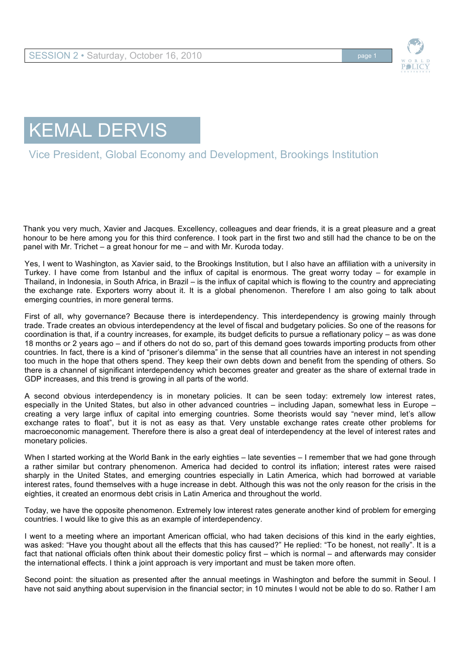

## KEMAL DERVIS

Vice President, Global Economy and Development, Brookings Institution

Thank you very much, Xavier and Jacques. Excellency, colleagues and dear friends, it is a great pleasure and a great honour to be here among you for this third conference. I took part in the first two and still had the chance to be on the panel with Mr. Trichet – a great honour for me – and with Mr. Kuroda today.

Yes, I went to Washington, as Xavier said, to the Brookings Institution, but I also have an affiliation with a university in Turkey. I have come from Istanbul and the influx of capital is enormous. The great worry today – for example in Thailand, in Indonesia, in South Africa, in Brazil – is the influx of capital which is flowing to the country and appreciating the exchange rate. Exporters worry about it. It is a global phenomenon. Therefore I am also going to talk about emerging countries, in more general terms.

First of all, why governance? Because there is interdependency. This interdependency is growing mainly through trade. Trade creates an obvious interdependency at the level of fiscal and budgetary policies. So one of the reasons for coordination is that, if a country increases, for example, its budget deficits to pursue a reflationary policy – as was done 18 months or 2 years ago – and if others do not do so, part of this demand goes towards importing products from other countries. In fact, there is a kind of "prisoner's dilemma" in the sense that all countries have an interest in not spending too much in the hope that others spend. They keep their own debts down and benefit from the spending of others. So there is a channel of significant interdependency which becomes greater and greater as the share of external trade in GDP increases, and this trend is growing in all parts of the world.

A second obvious interdependency is in monetary policies. It can be seen today: extremely low interest rates, especially in the United States, but also in other advanced countries – including Japan, somewhat less in Europe – creating a very large influx of capital into emerging countries. Some theorists would say "never mind, let's allow exchange rates to float", but it is not as easy as that. Very unstable exchange rates create other problems for macroeconomic management. Therefore there is also a great deal of interdependency at the level of interest rates and monetary policies.

When I started working at the World Bank in the early eighties – late seventies – I remember that we had gone through a rather similar but contrary phenomenon. America had decided to control its inflation; interest rates were raised sharply in the United States, and emerging countries especially in Latin America, which had borrowed at variable interest rates, found themselves with a huge increase in debt. Although this was not the only reason for the crisis in the eighties, it created an enormous debt crisis in Latin America and throughout the world.

Today, we have the opposite phenomenon. Extremely low interest rates generate another kind of problem for emerging countries. I would like to give this as an example of interdependency.

I went to a meeting where an important American official, who had taken decisions of this kind in the early eighties, was asked: "Have you thought about all the effects that this has caused?" He replied: "To be honest, not really". It is a fact that national officials often think about their domestic policy first – which is normal – and afterwards may consider the international effects. I think a joint approach is very important and must be taken more often.

Second point: the situation as presented after the annual meetings in Washington and before the summit in Seoul. I have not said anything about supervision in the financial sector; in 10 minutes I would not be able to do so. Rather I am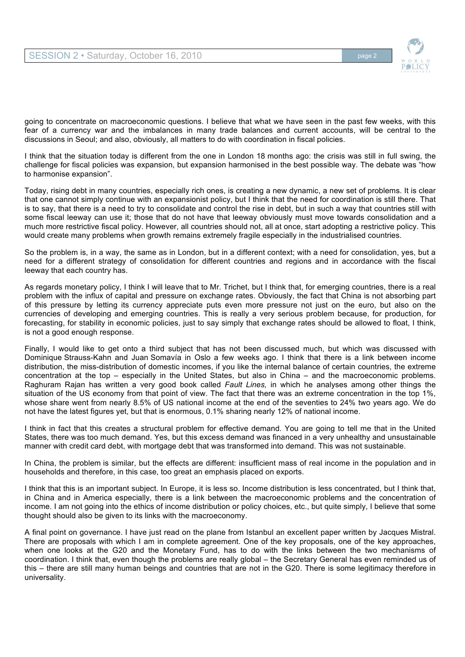

going to concentrate on macroeconomic questions. I believe that what we have seen in the past few weeks, with this fear of a currency war and the imbalances in many trade balances and current accounts, will be central to the discussions in Seoul; and also, obviously, all matters to do with coordination in fiscal policies.

I think that the situation today is different from the one in London 18 months ago: the crisis was still in full swing, the challenge for fiscal policies was expansion, but expansion harmonised in the best possible way. The debate was "how to harmonise expansion".

Today, rising debt in many countries, especially rich ones, is creating a new dynamic, a new set of problems. It is clear that one cannot simply continue with an expansionist policy, but I think that the need for coordination is still there. That is to say, that there is a need to try to consolidate and control the rise in debt, but in such a way that countries still with some fiscal leeway can use it; those that do not have that leeway obviously must move towards consolidation and a much more restrictive fiscal policy. However, all countries should not, all at once, start adopting a restrictive policy. This would create many problems when growth remains extremely fragile especially in the industrialised countries.

So the problem is, in a way, the same as in London, but in a different context; with a need for consolidation, yes, but a need for a different strategy of consolidation for different countries and regions and in accordance with the fiscal leeway that each country has.

As regards monetary policy, I think I will leave that to Mr. Trichet, but I think that, for emerging countries, there is a real problem with the influx of capital and pressure on exchange rates. Obviously, the fact that China is not absorbing part of this pressure by letting its currency appreciate puts even more pressure not just on the euro, but also on the currencies of developing and emerging countries. This is really a very serious problem because, for production, for forecasting, for stability in economic policies, just to say simply that exchange rates should be allowed to float, I think, is not a good enough response.

Finally, I would like to get onto a third subject that has not been discussed much, but which was discussed with Dominique Strauss-Kahn and Juan Somavía in Oslo a few weeks ago. I think that there is a link between income distribution, the miss-distribution of domestic incomes, if you like the internal balance of certain countries, the extreme concentration at the top – especially in the United States, but also in China – and the macroeconomic problems. Raghuram Rajan has written a very good book called *Fault Lines,* in which he analyses among other things the situation of the US economy from that point of view. The fact that there was an extreme concentration in the top 1%, whose share went from nearly 8.5% of US national income at the end of the seventies to 24% two years ago. We do not have the latest figures yet, but that is enormous, 0.1% sharing nearly 12% of national income.

I think in fact that this creates a structural problem for effective demand. You are going to tell me that in the United States, there was too much demand. Yes, but this excess demand was financed in a very unhealthy and unsustainable manner with credit card debt, with mortgage debt that was transformed into demand. This was not sustainable.

In China, the problem is similar, but the effects are different: insufficient mass of real income in the population and in households and therefore, in this case, too great an emphasis placed on exports.

I think that this is an important subject. In Europe, it is less so. Income distribution is less concentrated, but I think that, in China and in America especially, there is a link between the macroeconomic problems and the concentration of income. I am not going into the ethics of income distribution or policy choices, etc., but quite simply, I believe that some thought should also be given to its links with the macroeconomy.

A final point on governance. I have just read on the plane from Istanbul an excellent paper written by Jacques Mistral. There are proposals with which I am in complete agreement. One of the key proposals, one of the key approaches, when one looks at the G20 and the Monetary Fund, has to do with the links between the two mechanisms of coordination. I think that, even though the problems are really global – the Secretary General has even reminded us of this – there are still many human beings and countries that are not in the G20. There is some legitimacy therefore in universality.